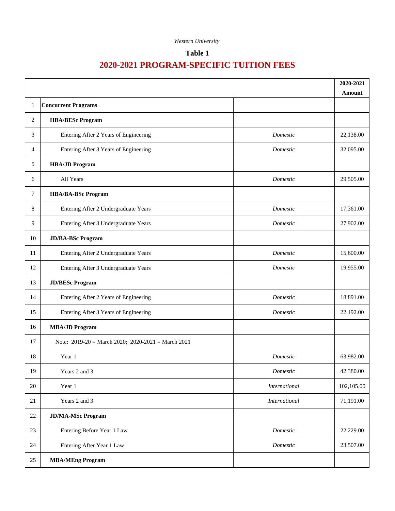## **Table 1**

|        |                                                        | 2020-2021            |            |
|--------|--------------------------------------------------------|----------------------|------------|
|        |                                                        |                      | Amount     |
| 1      | <b>Concurrent Programs</b>                             |                      |            |
| 2      | <b>HBA/BESc Program</b>                                |                      |            |
| 3      | Entering After 2 Years of Engineering                  | Domestic             | 22,138.00  |
| 4      | Entering After 3 Years of Engineering                  | Domestic             | 32,095.00  |
| 5      | <b>HBA/JD Program</b>                                  |                      |            |
| 6      | All Years                                              | Domestic             | 29,505.00  |
| $\tau$ | <b>HBA/BA-BSc Program</b>                              |                      |            |
| 8      | Entering After 2 Undergraduate Years                   | Domestic             | 17,361.00  |
| 9      | Entering After 3 Undergraduate Years                   | Domestic             | 27,902.00  |
| 10     | <b>JD/BA-BSc Program</b>                               |                      |            |
| 11     | Entering After 2 Undergraduate Years                   | Domestic             | 15,600.00  |
| 12     | Entering After 3 Undergraduate Years                   | Domestic             | 19,955.00  |
| 13     | <b>JD/BESc Program</b>                                 |                      |            |
| 14     | Entering After 2 Years of Engineering                  | Domestic             | 18,891.00  |
| 15     | Entering After 3 Years of Engineering                  | Domestic             | 22,192.00  |
| 16     | <b>MBA/JD Program</b>                                  |                      |            |
| 17     | Note: $2019-20$ = March 2020; $2020-2021$ = March 2021 |                      |            |
| 18     | Year 1                                                 | Domestic             | 63,982.00  |
| 19     | Years 2 and 3                                          | Domestic             | 42,380.00  |
| $20\,$ | Year 1                                                 | <b>International</b> | 102,105.00 |
| 21     | Years 2 and 3                                          | <i>International</i> | 71,191.00  |
| $22\,$ | <b>JD/MA-MSc Program</b>                               |                      |            |
| 23     | Entering Before Year 1 Law                             | Domestic             | 22,229.00  |
| 24     | Entering After Year 1 Law                              | Domestic             | 23,507.00  |
| 25     | <b>MBA/MEng Program</b>                                |                      |            |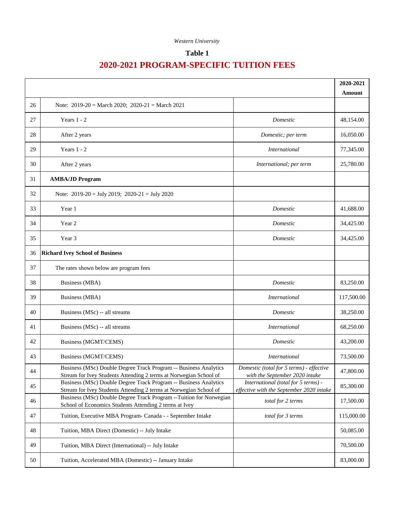## **Table 1**

|    |                                                                                                                                       |                                                                                 | 2020-2021  |
|----|---------------------------------------------------------------------------------------------------------------------------------------|---------------------------------------------------------------------------------|------------|
|    |                                                                                                                                       |                                                                                 | Amount     |
| 26 | Note: $2019-20$ = March 2020; $2020-21$ = March 2021                                                                                  |                                                                                 |            |
| 27 | Years $1 - 2$                                                                                                                         | Domestic                                                                        | 48,154.00  |
| 28 | After 2 years                                                                                                                         | Domestic; per term                                                              | 16,050.00  |
| 29 | Years $1 - 2$                                                                                                                         | <i>International</i>                                                            | 77,345.00  |
| 30 | After 2 years                                                                                                                         | International; per term                                                         | 25,780.00  |
| 31 | <b>AMBA/JD Program</b>                                                                                                                |                                                                                 |            |
| 32 | Note: $2019-20 = July 2019$ ; $2020-21 = July 2020$                                                                                   |                                                                                 |            |
| 33 | Year 1                                                                                                                                | Domestic                                                                        | 41,688.00  |
| 34 | Year 2                                                                                                                                | Domestic                                                                        | 34,425.00  |
| 35 | Year 3                                                                                                                                | Domestic                                                                        | 34,425.00  |
| 36 | <b>Richard Ivey School of Business</b>                                                                                                |                                                                                 |            |
| 37 | The rates shown below are program fees                                                                                                |                                                                                 |            |
| 38 | <b>Business (MBA)</b>                                                                                                                 | Domestic                                                                        | 83,250.00  |
| 39 | Business (MBA)                                                                                                                        | <i>International</i>                                                            | 117,500.00 |
| 40 | Business (MSc) -- all streams                                                                                                         | Domestic                                                                        | 38,250.00  |
| 41 | Business (MSc) -- all streams                                                                                                         | <i>International</i>                                                            | 68,250.00  |
| 42 | <b>Business (MGMT/CEMS)</b>                                                                                                           | Domestic                                                                        | 43,200.00  |
| 43 | Business (MGMT/CEMS)                                                                                                                  | <i>International</i>                                                            | 73,500.00  |
| 44 | Business (MSc) Double Degree Track Program -- Business Analytics<br>Stream for Ivey Students Attending 2 terms at Norwegian School of | Domestic (total for 5 terms) - effective<br>with the September 2020 intake      | 47,800.00  |
| 45 | Business (MSc) Double Degree Track Program -- Business Analytics<br>Stream for Ivey Students Attending 2 terms at Norwegian School of | International (total for 5 terms) -<br>effective with the September 2020 intake | 85,300.00  |
| 46 | Business (MSc) Double Degree Track Program -- Tuition for Norwegian<br>School of Economics Students Attending 2 terms at Ivey         | total for 2 terms                                                               | 17,500.00  |
| 47 | Tuition, Executive MBA Program- Canada - - September Intake                                                                           | total for 3 terms                                                               | 115,000.00 |
| 48 | Tuition, MBA Direct (Domestic) -- July Intake                                                                                         |                                                                                 | 50,085.00  |
| 49 | Tuition, MBA Direct (International) -- July Intake                                                                                    |                                                                                 | 70,500.00  |
| 50 | Tuition, Accelerated MBA (Domestic) -- January Intake                                                                                 |                                                                                 | 83,000.00  |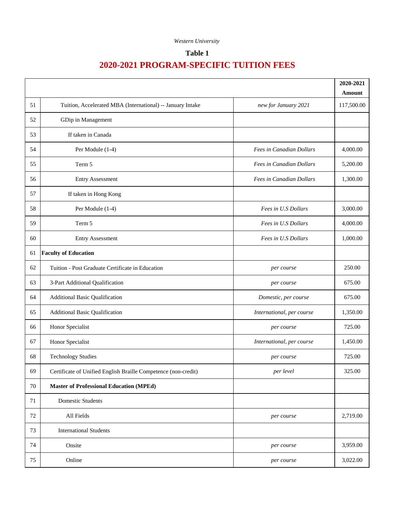## **Table 1**

|        |                                                                |                           | 2020-2021  |
|--------|----------------------------------------------------------------|---------------------------|------------|
|        |                                                                |                           | Amount     |
| 51     | Tuition, Accelerated MBA (International) -- January Intake     | new for January 2021      | 117,500.00 |
| 52     | GDip in Management                                             |                           |            |
| 53     | If taken in Canada                                             |                           |            |
| 54     | Per Module (1-4)                                               | Fees in Canadian Dollars  | 4,000.00   |
| 55     | Term 5                                                         | Fees in Canadian Dollars  | 5,200.00   |
| 56     | <b>Entry Assessment</b>                                        | Fees in Canadian Dollars  | 1,300.00   |
| 57     | If taken in Hong Kong                                          |                           |            |
| 58     | Per Module (1-4)                                               | Fees in U.S Dollars       | 3,000.00   |
| 59     | Term 5                                                         | Fees in U.S Dollars       | 4,000.00   |
| 60     | <b>Entry Assessment</b>                                        | Fees in U.S Dollars       | 1,000.00   |
| 61     | <b>Faculty of Education</b>                                    |                           |            |
| 62     | Tuition - Post Graduate Certificate in Education               | per course                | 250.00     |
| 63     | 3-Part Additional Qualification                                | per course                | 675.00     |
| 64     | <b>Additional Basic Qualification</b>                          | Domestic, per course      | 675.00     |
| 65     | <b>Additional Basic Qualification</b>                          | International, per course | 1,350.00   |
| 66     | Honor Specialist                                               | per course                | 725.00     |
| 67     | Honor Specialist                                               | International, per course | 1,450.00   |
| 68     | <b>Technology Studies</b>                                      | per course                | 725.00     |
| 69     | Certificate of Unified English Braille Competence (non-credit) | per level                 | 325.00     |
| $70\,$ | <b>Master of Professional Education (MPEd)</b>                 |                           |            |
| 71     | <b>Domestic Students</b>                                       |                           |            |
| $72\,$ | All Fields                                                     | per course                | 2,719.00   |
| 73     | <b>International Students</b>                                  |                           |            |
| 74     | Onsite                                                         | per course                | 3,959.00   |
| 75     | Online                                                         | per course                | 3,022.00   |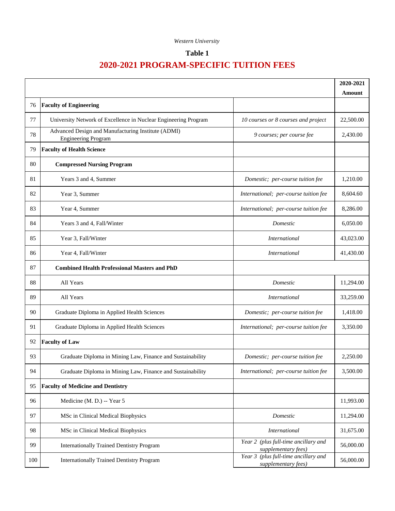## **Table 1**

|     |                                                                                  |                                                             | 2020-2021 |
|-----|----------------------------------------------------------------------------------|-------------------------------------------------------------|-----------|
|     |                                                                                  |                                                             | Amount    |
| 76  | <b>Faculty of Engineering</b>                                                    |                                                             |           |
| 77  | University Network of Excellence in Nuclear Engineering Program                  | 10 courses or 8 courses and project                         | 22,500.00 |
| 78  | Advanced Design and Manufacturing Institute (ADMI)<br><b>Engineering Program</b> | 9 courses; per course fee                                   | 2,430.00  |
| 79  | <b>Faculty of Health Science</b>                                                 |                                                             |           |
| 80  | <b>Compressed Nursing Program</b>                                                |                                                             |           |
| 81  | Years 3 and 4, Summer                                                            | Domestic; per-course tuition fee                            | 1,210.00  |
| 82  | Year 3, Summer                                                                   | International; per-course tuition fee                       | 8,604.60  |
| 83  | Year 4, Summer                                                                   | International; per-course tuition fee                       | 8,286.00  |
| 84  | Years 3 and 4, Fall/Winter                                                       | Domestic                                                    | 6,050.00  |
| 85  | Year 3, Fall/Winter                                                              | <b>International</b>                                        | 43,023.00 |
| 86  | Year 4, Fall/Winter                                                              | <i>International</i>                                        | 41,430.00 |
| 87  | <b>Combined Health Professional Masters and PhD</b>                              |                                                             |           |
| 88  | All Years                                                                        | Domestic                                                    | 11,294.00 |
| 89  | All Years                                                                        | International                                               | 33,259.00 |
| 90  | Graduate Diploma in Applied Health Sciences                                      | Domestic; per-course tuition fee                            | 1,418.00  |
| 91  | Graduate Diploma in Applied Health Sciences                                      | International; per-course tuition fee                       | 3,350.00  |
| 92  | <b>Faculty of Law</b>                                                            |                                                             |           |
| 93  | Graduate Diploma in Mining Law, Finance and Sustainability                       | Domestic; per-course tuition fee                            | 2,250.00  |
| 94  | Graduate Diploma in Mining Law, Finance and Sustainability                       | International; per-course tuition fee                       | 3,500.00  |
| 95  | <b>Faculty of Medicine and Dentistry</b>                                         |                                                             |           |
| 96  | Medicine (M. D.) -- Year 5                                                       |                                                             | 11,993.00 |
| 97  | MSc in Clinical Medical Biophysics                                               | Domestic                                                    | 11,294.00 |
| 98  | MSc in Clinical Medical Biophysics                                               | International                                               | 31,675.00 |
| 99  | <b>Internationally Trained Dentistry Program</b>                                 | Year 2 (plus full-time ancillary and<br>supplementary fees) | 56,000.00 |
| 100 | <b>Internationally Trained Dentistry Program</b>                                 | Year 3 (plus full-time ancillary and<br>supplementary fees) | 56,000.00 |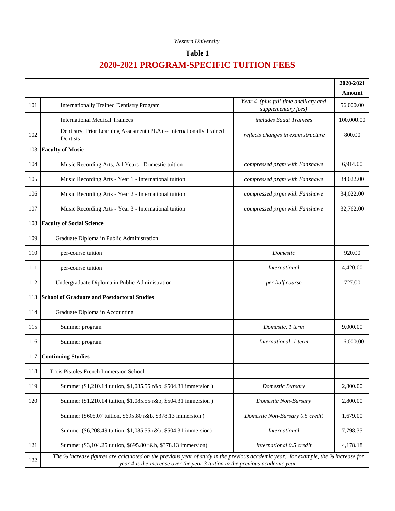## **Table 1**

|     |                                                                                                                                                                                                                     |                                                             | 2020-2021  |
|-----|---------------------------------------------------------------------------------------------------------------------------------------------------------------------------------------------------------------------|-------------------------------------------------------------|------------|
|     |                                                                                                                                                                                                                     |                                                             | Amount     |
| 101 | <b>Internationally Trained Dentistry Program</b>                                                                                                                                                                    | Year 4 (plus full-time ancillary and<br>supplementary fees) | 56,000.00  |
|     | <b>International Medical Trainees</b>                                                                                                                                                                               | includes Saudi Trainees                                     | 100,000.00 |
| 102 | Dentistry, Prior Learning Assesment (PLA) -- Internationally Trained<br>Dentists                                                                                                                                    | reflects changes in exam structure                          | 800.00     |
| 103 | <b>Faculty of Music</b>                                                                                                                                                                                             |                                                             |            |
| 104 | Music Recording Arts, All Years - Domestic tuition                                                                                                                                                                  | compressed prgm with Fanshawe                               | 6,914.00   |
| 105 | Music Recording Arts - Year 1 - International tuition                                                                                                                                                               | compressed prgm with Fanshawe                               | 34,022.00  |
| 106 | Music Recording Arts - Year 2 - International tuition                                                                                                                                                               | compressed prgm with Fanshawe                               | 34,022.00  |
| 107 | Music Recording Arts - Year 3 - International tuition                                                                                                                                                               | compressed prgm with Fanshawe                               | 32,762.00  |
| 108 | <b>Faculty of Social Science</b>                                                                                                                                                                                    |                                                             |            |
| 109 | Graduate Diploma in Public Administration                                                                                                                                                                           |                                                             |            |
| 110 | per-course tuition                                                                                                                                                                                                  | Domestic                                                    | 920.00     |
| 111 | per-course tuition                                                                                                                                                                                                  | <b>International</b>                                        | 4,420.00   |
| 112 | Undergraduate Diploma in Public Administration                                                                                                                                                                      | per half course                                             | 727.00     |
| 113 | <b>School of Graduate and Postdoctoral Studies</b>                                                                                                                                                                  |                                                             |            |
| 114 | Graduate Diploma in Accounting                                                                                                                                                                                      |                                                             |            |
| 115 | Summer program                                                                                                                                                                                                      | Domestic, 1 term                                            | 9,000.00   |
| 116 | Summer program                                                                                                                                                                                                      | International, 1 term                                       | 16,000.00  |
| 117 | <b>Continuing Studies</b>                                                                                                                                                                                           |                                                             |            |
| 118 | Trois Pistoles French Immersion School:                                                                                                                                                                             |                                                             |            |
| 119 | Summer (\$1,210.14 tuition, \$1,085.55 r&b, \$504.31 immersion)                                                                                                                                                     | Domestic Bursary                                            | 2,800.00   |
| 120 | Summer (\$1,210.14 tuition, \$1,085.55 r&b, \$504.31 immersion)                                                                                                                                                     | Domestic Non-Bursary                                        | 2,800.00   |
|     | Summer (\$605.07 tuition, \$695.80 r&b, \$378.13 immersion)                                                                                                                                                         | Domestic Non-Bursary 0.5 credit                             | 1,679.00   |
|     | Summer (\$6,208.49 tuition, \$1,085.55 r&b, \$504.31 immersion)                                                                                                                                                     | <i>International</i>                                        | 7,798.35   |
| 121 | Summer (\$3,104.25 tuition, \$695.80 r&b, \$378.13 immersion)                                                                                                                                                       | International 0.5 credit                                    | 4,178.18   |
| 122 | The % increase figures are calculated on the previous year of study in the previous academic year; for example, the % increase for<br>year 4 is the increase over the year 3 tuition in the previous academic year. |                                                             |            |